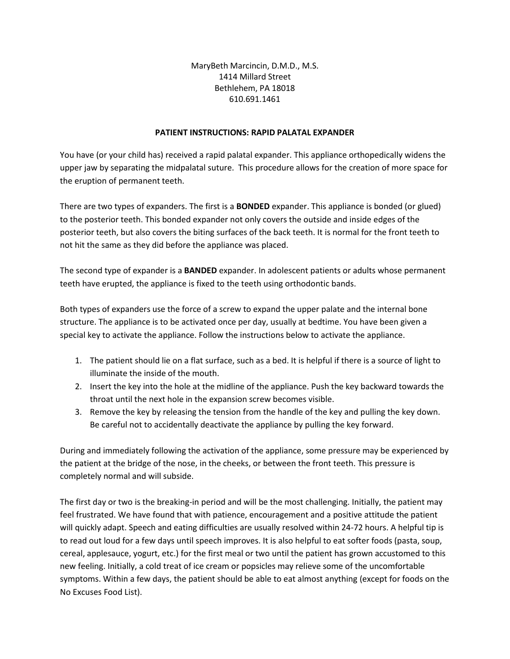MaryBeth Marcincin, D.M.D., M.S. 1414 Millard Street Bethlehem, PA 18018 610.691.1461

## **PATIENT INSTRUCTIONS: RAPID PALATAL EXPANDER**

You have (or your child has) received a rapid palatal expander. This appliance orthopedically widens the upper jaw by separating the midpalatal suture. This procedure allows for the creation of more space for the eruption of permanent teeth.

There are two types of expanders. The first is a **BONDED** expander. This appliance is bonded (or glued) to the posterior teeth. This bonded expander not only covers the outside and inside edges of the posterior teeth, but also covers the biting surfaces of the back teeth. It is normal for the front teeth to not hit the same as they did before the appliance was placed.

The second type of expander is a **BANDED** expander. In adolescent patients or adults whose permanent teeth have erupted, the appliance is fixed to the teeth using orthodontic bands.

Both types of expanders use the force of a screw to expand the upper palate and the internal bone structure. The appliance is to be activated once per day, usually at bedtime. You have been given a special key to activate the appliance. Follow the instructions below to activate the appliance.

- 1. The patient should lie on a flat surface, such as a bed. It is helpful if there is a source of light to illuminate the inside of the mouth.
- 2. Insert the key into the hole at the midline of the appliance. Push the key backward towards the throat until the next hole in the expansion screw becomes visible.
- 3. Remove the key by releasing the tension from the handle of the key and pulling the key down. Be careful not to accidentally deactivate the appliance by pulling the key forward.

During and immediately following the activation of the appliance, some pressure may be experienced by the patient at the bridge of the nose, in the cheeks, or between the front teeth. This pressure is completely normal and will subside.

The first day or two is the breaking-in period and will be the most challenging. Initially, the patient may feel frustrated. We have found that with patience, encouragement and a positive attitude the patient will quickly adapt. Speech and eating difficulties are usually resolved within 24-72 hours. A helpful tip is to read out loud for a few days until speech improves. It is also helpful to eat softer foods (pasta, soup, cereal, applesauce, yogurt, etc.) for the first meal or two until the patient has grown accustomed to this new feeling. Initially, a cold treat of ice cream or popsicles may relieve some of the uncomfortable symptoms. Within a few days, the patient should be able to eat almost anything (except for foods on the No Excuses Food List).